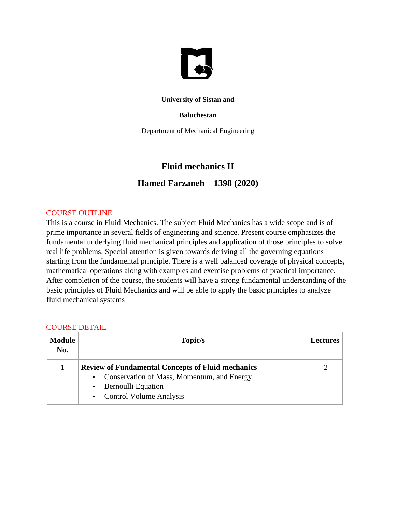

#### **University of Sistan and**

#### **Baluchestan**

Department of Mechanical Engineering

# **Fluid mechanics II**

### **Hamed Farzaneh – 1398 (2020)**

### COURSE OUTLINE

This is a course in Fluid Mechanics. The subject Fluid Mechanics has a wide scope and is of prime importance in several fields of engineering and science. Present course emphasizes the fundamental underlying fluid mechanical principles and application of those principles to solve real life problems. Special attention is given towards deriving all the governing equations starting from the fundamental principle. There is a well balanced coverage of physical concepts, mathematical operations along with examples and exercise problems of practical importance. After completion of the course, the students will have a strong fundamental understanding of the basic principles of Fluid Mechanics and will be able to apply the basic principles to analyze fluid mechanical systems

| <b>Module</b><br>No. | Topic/s                                                                                                                                                                                         | <b>Lectures</b> |
|----------------------|-------------------------------------------------------------------------------------------------------------------------------------------------------------------------------------------------|-----------------|
|                      | <b>Review of Fundamental Concepts of Fluid mechanics</b><br>Conservation of Mass, Momentum, and Energy<br>$\bullet$<br><b>Bernoulli Equation</b><br><b>Control Volume Analysis</b><br>$\bullet$ |                 |

#### COURSE DETAIL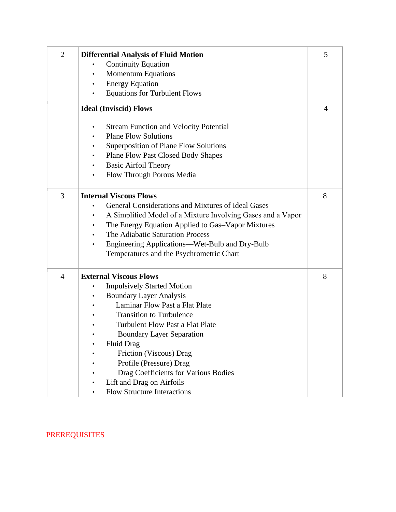| $\overline{2}$ | <b>Differential Analysis of Fluid Motion</b><br><b>Continuity Equation</b><br><b>Momentum Equations</b><br><b>Energy Equation</b><br>$\bullet$<br><b>Equations for Turbulent Flows</b>                                                                                                                                                                                                                                                                      | 5 |
|----------------|-------------------------------------------------------------------------------------------------------------------------------------------------------------------------------------------------------------------------------------------------------------------------------------------------------------------------------------------------------------------------------------------------------------------------------------------------------------|---|
|                | <b>Ideal (Inviscid) Flows</b>                                                                                                                                                                                                                                                                                                                                                                                                                               | 4 |
|                | <b>Stream Function and Velocity Potential</b><br>$\bullet$<br><b>Plane Flow Solutions</b><br>Superposition of Plane Flow Solutions<br><b>Plane Flow Past Closed Body Shapes</b><br><b>Basic Airfoil Theory</b><br>$\bullet$<br>Flow Through Porous Media                                                                                                                                                                                                    |   |
| 3              | <b>Internal Viscous Flows</b><br>General Considerations and Mixtures of Ideal Gases<br>A Simplified Model of a Mixture Involving Gases and a Vapor<br>$\bullet$<br>The Energy Equation Applied to Gas-Vapor Mixtures<br>The Adiabatic Saturation Process<br>$\bullet$<br>Engineering Applications—Wet-Bulb and Dry-Bulb<br>Temperatures and the Psychrometric Chart                                                                                         | 8 |
| $\overline{4}$ | <b>External Viscous Flows</b><br><b>Impulsively Started Motion</b><br><b>Boundary Layer Analysis</b><br>$\bullet$<br>Laminar Flow Past a Flat Plate<br><b>Transition to Turbulence</b><br><b>Turbulent Flow Past a Flat Plate</b><br><b>Boundary Layer Separation</b><br><b>Fluid Drag</b><br>Friction (Viscous) Drag<br>Profile (Pressure) Drag<br>Drag Coefficients for Various Bodies<br>Lift and Drag on Airfoils<br><b>Flow Structure Interactions</b> | 8 |

# PREREQUISITES